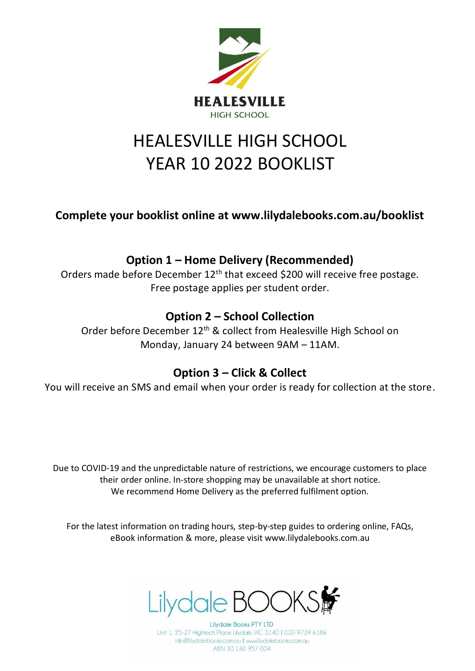

# HEALESVILLE HIGH SCHOOL YEAR 10 2022 BOOKLIST

**Complete your booklist online at www.lilydalebooks.com.au/booklist** 

## **Option 1 – Home Delivery (Recommended)**

Orders made before December 12<sup>th</sup> that exceed \$200 will receive free postage. Free postage applies per student order.

## **Option 2 – School Collection**

Order before December 12<sup>th</sup> & collect from Healesville High School on Monday, January 24 between 9AM – 11AM.

### **Option 3 – Click & Collect**

You will receive an SMS and email when your order is ready for collection at the store.

Due to COVID-19 and the unpredictable nature of restrictions, we encourage customers to place their order online. In-store shopping may be unavailable at short notice. We recommend Home Delivery as the preferred fulfilment option.

For the latest information on trading hours, step-by-step guides to ordering online, FAQs, eBook information & more, please visit www.lilydalebooks.com.au



**Lilydale Books PTY LTD** Unit 1, 25-27 Hightech Place Lilydale VIC 3140 | (03) 9739 6186 info@lilydalebooks.com.au | www.lilydalebooks.com.au ABN 30 160 957 004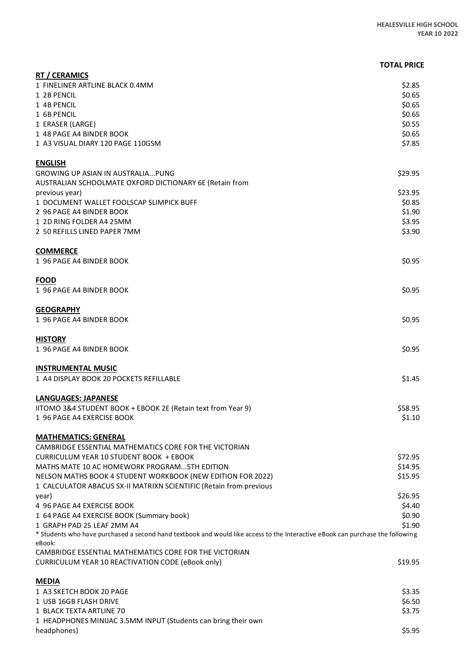#### **TOTAL PRICE**

| <b>RT / CERAMICS</b>                                                                                                                                         |                  |
|--------------------------------------------------------------------------------------------------------------------------------------------------------------|------------------|
| 1 FINELINER ARTLINE BLACK 0.4MM                                                                                                                              | \$2.85           |
| 1 2B PENCIL                                                                                                                                                  | \$0.65           |
| 1 4B PENCIL                                                                                                                                                  | \$0.65           |
| 1 6B PENCIL                                                                                                                                                  | \$0.65           |
| 1 ERASER (LARGE)                                                                                                                                             | \$0.55           |
| 1 48 PAGE A4 BINDER BOOK                                                                                                                                     | \$0.65           |
| 1 A3 VISUAL DIARY 120 PAGE 110GSM                                                                                                                            | \$7.85           |
| <b>ENGLISH</b>                                                                                                                                               |                  |
| <b>GROWING UP ASIAN IN AUSTRALIAPUNG</b>                                                                                                                     | \$29.95          |
| AUSTRALIAN SCHOOLMATE OXFORD DICTIONARY 6E (Retain from                                                                                                      |                  |
| previous year)                                                                                                                                               | \$23.95          |
| 1 DOCUMENT WALLET FOOLSCAP SLIMPICK BUFF                                                                                                                     | \$0.85           |
| 2 96 PAGE A4 BINDER BOOK                                                                                                                                     | \$1.90           |
| 1 2D RING FOLDER A4 25MM                                                                                                                                     | \$3.95           |
| 2 50 REFILLS LINED PAPER 7MM                                                                                                                                 | \$3.90           |
|                                                                                                                                                              |                  |
| <b>COMMERCE</b>                                                                                                                                              |                  |
| 1 96 PAGE A4 BINDER BOOK                                                                                                                                     | \$0.95           |
| <b>FOOD</b>                                                                                                                                                  |                  |
| 1 96 PAGE A4 BINDER BOOK                                                                                                                                     | \$0.95           |
|                                                                                                                                                              |                  |
| <b>GEOGRAPHY</b>                                                                                                                                             |                  |
| 1 96 PAGE A4 BINDER BOOK                                                                                                                                     | \$0.95           |
|                                                                                                                                                              |                  |
| <b>HISTORY</b>                                                                                                                                               |                  |
| 1 96 PAGE A4 BINDER BOOK                                                                                                                                     | \$0.95           |
|                                                                                                                                                              |                  |
| <b>INSTRUMENTAL MUSIC</b><br>1 A4 DISPLAY BOOK 20 POCKETS REFILLABLE                                                                                         | \$1.45           |
|                                                                                                                                                              |                  |
| <b>LANGUAGES: JAPANESE</b>                                                                                                                                   |                  |
| IITOMO 3&4 STUDENT BOOK + EBOOK 2E (Retain text from Year 9)                                                                                                 | \$58.95          |
| 1 96 PAGE A4 EXERCISE BOOK                                                                                                                                   | \$1.10           |
|                                                                                                                                                              |                  |
| <b>MATHEMATICS: GENERAL</b>                                                                                                                                  |                  |
| CAMBRIDGE ESSENTIAL MATHEMATICS CORE FOR THE VICTORIAN                                                                                                       |                  |
| <b>CURRICULUM YEAR 10 STUDENT BOOK + EBOOK</b>                                                                                                               | \$72.95          |
| MATHS MATE 10 AC HOMEWORK PROGRAM5TH EDITION                                                                                                                 | \$14.95          |
| NELSON MATHS BOOK 4 STUDENT WORKBOOK (NEW EDITION FOR 2022)                                                                                                  | \$15.95          |
| 1 CALCULATOR ABACUS SX-II MATRIXN SCIENTIFIC (Retain from previous                                                                                           |                  |
| year)                                                                                                                                                        | \$26.95          |
| 4 96 PAGE A4 EXERCISE BOOK                                                                                                                                   | \$4.40           |
| 1 64 PAGE A4 EXERCISE BOOK (Summary book)                                                                                                                    | \$0.90           |
| 1 GRAPH PAD 25 LEAF 2MM A4<br>* Students who have purchased a second hand textbook and would like access to the Interactive eBook can purchase the following | \$1.90           |
| eBook:                                                                                                                                                       |                  |
| CAMBRIDGE ESSENTIAL MATHEMATICS CORE FOR THE VICTORIAN                                                                                                       |                  |
| CURRICULUM YEAR 10 REACTIVATION CODE (eBook only)                                                                                                            | \$19.95          |
|                                                                                                                                                              |                  |
| <b>MEDIA</b>                                                                                                                                                 |                  |
| 1 A3 SKETCH BOOK 20 PAGE                                                                                                                                     | \$3.35           |
| 1 USB 16GB FLASH DRIVE<br>1 BLACK TEXTA ARTLINE 70                                                                                                           | \$6.50<br>\$3.75 |
| 1 HEADPHONES MINIJAC 3.5MM INPUT (Students can bring their own                                                                                               |                  |
| headphones)                                                                                                                                                  | \$5.95           |
|                                                                                                                                                              |                  |